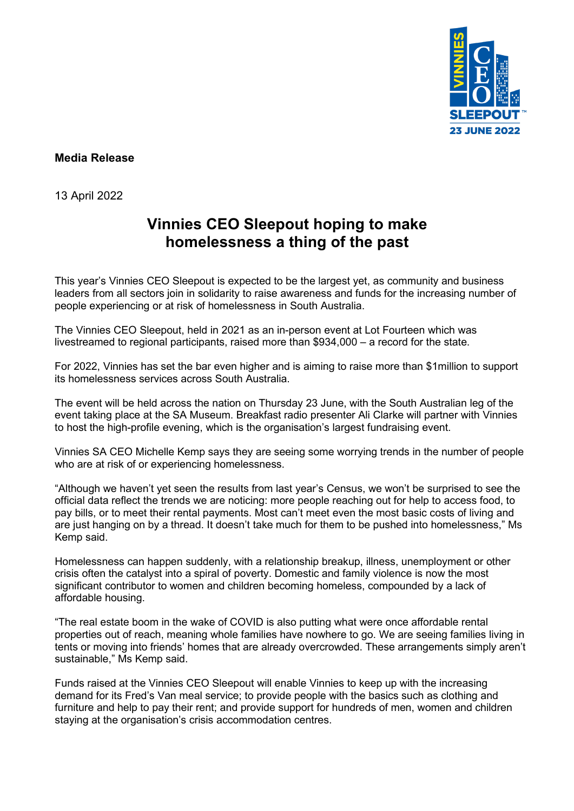

### **Media Release**

13 April 2022

# **Vinnies CEO Sleepout hoping to make homelessness a thing of the past**

This year's Vinnies CEO Sleepout is expected to be the largest yet, as community and business leaders from all sectors join in solidarity to raise awareness and funds for the increasing number of people experiencing or at risk of homelessness in South Australia.

The Vinnies CEO Sleepout, held in 2021 as an in-person event at Lot Fourteen which was livestreamed to regional participants, raised more than \$934,000 – a record for the state.

For 2022, Vinnies has set the bar even higher and is aiming to raise more than \$1million to support its homelessness services across South Australia.

The event will be held across the nation on Thursday 23 June, with the South Australian leg of the event taking place at the SA Museum. Breakfast radio presenter Ali Clarke will partner with Vinnies to host the high-profile evening, which is the organisation's largest fundraising event.

Vinnies SA CEO Michelle Kemp says they are seeing some worrying trends in the number of people who are at risk of or experiencing homelessness.

"Although we haven't yet seen the results from last year's Census, we won't be surprised to see the official data reflect the trends we are noticing: more people reaching out for help to access food, to pay bills, or to meet their rental payments. Most can't meet even the most basic costs of living and are just hanging on by a thread. It doesn't take much for them to be pushed into homelessness," Ms Kemp said.

Homelessness can happen suddenly, with a relationship breakup, illness, unemployment or other crisis often the catalyst into a spiral of poverty. Domestic and family violence is now the most significant contributor to women and children becoming homeless, compounded by a lack of affordable housing.

"The real estate boom in the wake of COVID is also putting what were once affordable rental properties out of reach, meaning whole families have nowhere to go. We are seeing families living in tents or moving into friends' homes that are already overcrowded. These arrangements simply aren't sustainable," Ms Kemp said.

Funds raised at the Vinnies CEO Sleepout will enable Vinnies to keep up with the increasing demand for its Fred's Van meal service; to provide people with the basics such as clothing and furniture and help to pay their rent; and provide support for hundreds of men, women and children staying at the organisation's crisis accommodation centres.